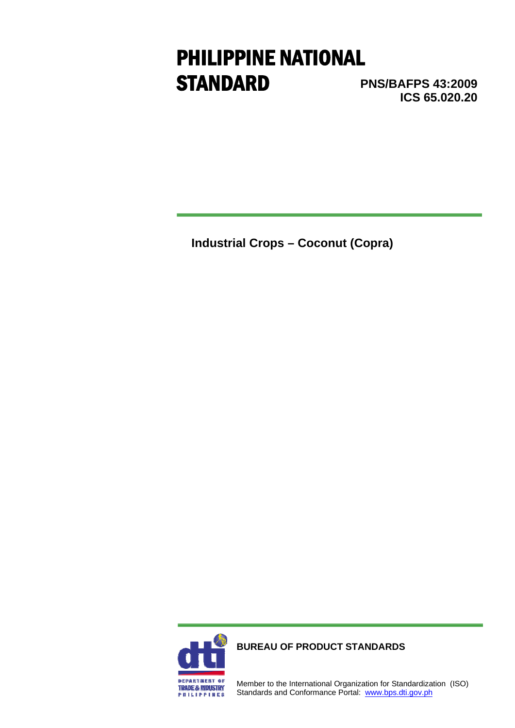# PHILIPPINE NATIONAL **STANDARD**

**PNS/BAFPS 43:2009 ICS 65.020.20**

**Industrial Crops – Coconut (Copra)** 



**BUREAU OF PRODUCT STANDARDS**

Member to the International Organization for Standardization (ISO) Standards and Conformance Portal: www.bps.dti.gov.ph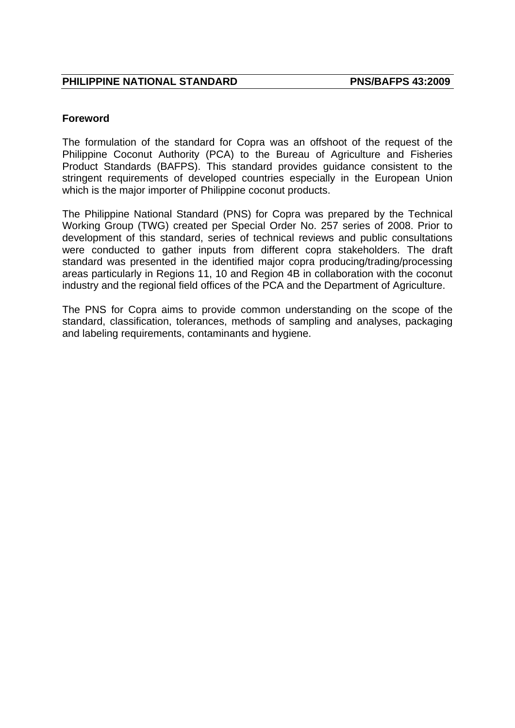### **Foreword**

The formulation of the standard for Copra was an offshoot of the request of the Philippine Coconut Authority (PCA) to the Bureau of Agriculture and Fisheries Product Standards (BAFPS). This standard provides guidance consistent to the stringent requirements of developed countries especially in the European Union which is the major importer of Philippine coconut products.

The Philippine National Standard (PNS) for Copra was prepared by the Technical Working Group (TWG) created per Special Order No. 257 series of 2008. Prior to development of this standard, series of technical reviews and public consultations were conducted to gather inputs from different copra stakeholders. The draft standard was presented in the identified major copra producing/trading/processing areas particularly in Regions 11, 10 and Region 4B in collaboration with the coconut industry and the regional field offices of the PCA and the Department of Agriculture.

The PNS for Copra aims to provide common understanding on the scope of the standard, classification, tolerances, methods of sampling and analyses, packaging and labeling requirements, contaminants and hygiene.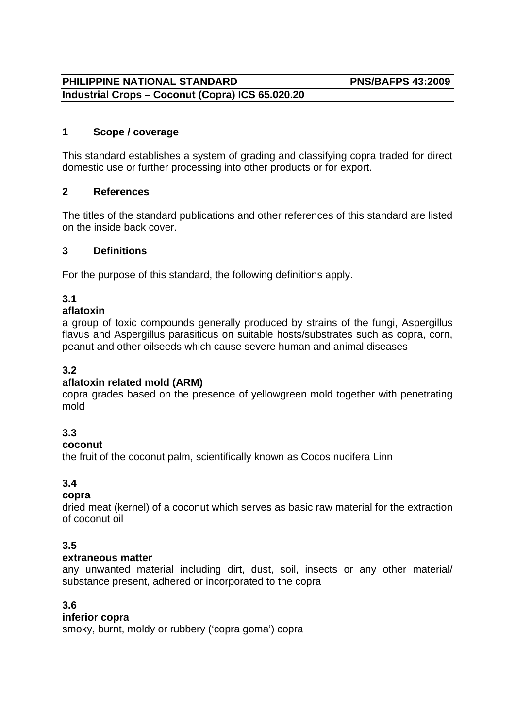# **PHILIPPINE NATIONAL STANDARD PNS/BAFPS 43:2009 Industrial Crops – Coconut (Copra) ICS 65.020.20**

# **1 Scope / coverage**

This standard establishes a system of grading and classifying copra traded for direct domestic use or further processing into other products or for export.

# **2 References**

The titles of the standard publications and other references of this standard are listed on the inside back cover.

# **3 Definitions**

For the purpose of this standard, the following definitions apply.

# **3.1**

# **aflatoxin**

a group of toxic compounds generally produced by strains of the fungi, Aspergillus flavus and Aspergillus parasiticus on suitable hosts/substrates such as copra, corn, peanut and other oilseeds which cause severe human and animal diseases

# **3.2**

# **aflatoxin related mold (ARM)**

copra grades based on the presence of yellowgreen mold together with penetrating mold

# **3.3**

#### **coconut**

the fruit of the coconut palm, scientifically known as Cocos nucifera Linn

# **3.4**

# **copra**

dried meat (kernel) of a coconut which serves as basic raw material for the extraction of coconut oil

# **3.5**

#### **extraneous matter**

any unwanted material including dirt, dust, soil, insects or any other material/ substance present, adhered or incorporated to the copra

# **3.6**

# **inferior copra**

smoky, burnt, moldy or rubbery ('copra goma') copra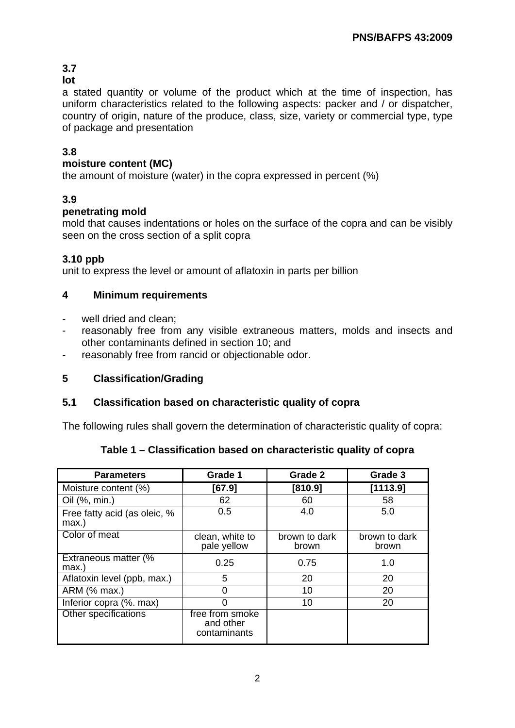# **3.7**

# **lot**

a stated quantity or volume of the product which at the time of inspection, has uniform characteristics related to the following aspects: packer and / or dispatcher, country of origin, nature of the produce, class, size, variety or commercial type, type of package and presentation

# **3.8**

# **moisture content (MC)**

the amount of moisture (water) in the copra expressed in percent (%)

# **3.9**

# **penetrating mold**

mold that causes indentations or holes on the surface of the copra and can be visibly seen on the cross section of a split copra

# **3.10 ppb**

unit to express the level or amount of aflatoxin in parts per billion

# **4 Minimum requirements**

- well dried and clean;
- reasonably free from any visible extraneous matters, molds and insects and other contaminants defined in section 10; and
- reasonably free from rancid or objectionable odor.

# **5 Classification/Grading**

# **5.1 Classification based on characteristic quality of copra**

The following rules shall govern the determination of characteristic quality of copra:

|  | Table 1 – Classification based on characteristic quality of copra |  |  |
|--|-------------------------------------------------------------------|--|--|
|  |                                                                   |  |  |

| <b>Parameters</b>                        | Grade 1                                      | Grade 2                | Grade 3                |
|------------------------------------------|----------------------------------------------|------------------------|------------------------|
| Moisture content (%)                     | [67.9]                                       | [810.9]                | [1113.9]               |
| Oil (%, min.)                            | 62                                           | 60                     | 58                     |
| Free fatty acid (as oleic, %<br>$max.$ ) | 0.5                                          | 4.0                    | 5.0                    |
| Color of meat                            | clean, white to<br>pale yellow               | brown to dark<br>brown | brown to dark<br>brown |
| Extraneous matter (%<br>max.)            | 0.25                                         | 0.75                   | 1.0                    |
| Aflatoxin level (ppb, max.)              | 5                                            | 20                     | 20                     |
| ARM (% max.)                             | ი                                            | 10                     | 20                     |
| Inferior copra (%. max)                  |                                              | 10                     | 20                     |
| Other specifications                     | free from smoke<br>and other<br>contaminants |                        |                        |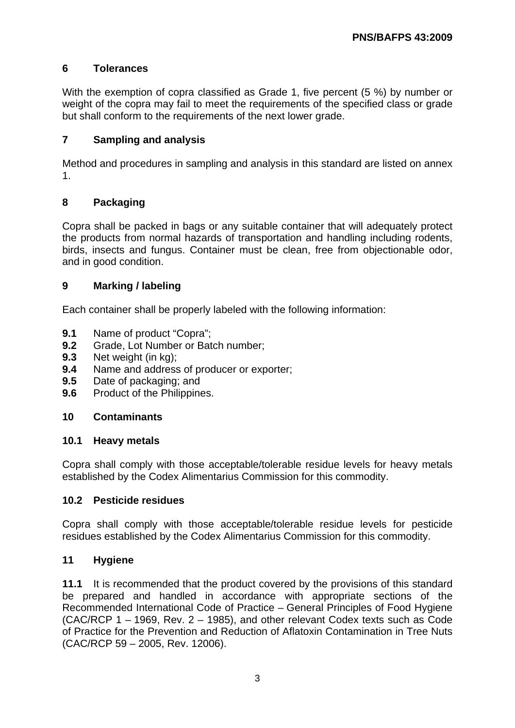# **6 Tolerances**

With the exemption of copra classified as Grade 1, five percent (5 %) by number or weight of the copra may fail to meet the requirements of the specified class or grade but shall conform to the requirements of the next lower grade.

# **7 Sampling and analysis**

Method and procedures in sampling and analysis in this standard are listed on annex 1.

# **8 Packaging**

Copra shall be packed in bags or any suitable container that will adequately protect the products from normal hazards of transportation and handling including rodents, birds, insects and fungus. Container must be clean, free from objectionable odor, and in good condition.

# **9 Marking / labeling**

Each container shall be properly labeled with the following information:

- **9.1** Name of product "Copra";
- **9.2** Grade, Lot Number or Batch number;
- **9.3** Net weight (in kg);
- **9.4** Name and address of producer or exporter;
- **9.5** Date of packaging; and
- **9.6** Product of the Philippines.

# **10 Contaminants**

#### **10.1 Heavy metals**

Copra shall comply with those acceptable/tolerable residue levels for heavy metals established by the Codex Alimentarius Commission for this commodity.

#### **10.2 Pesticide residues**

Copra shall comply with those acceptable/tolerable residue levels for pesticide residues established by the Codex Alimentarius Commission for this commodity.

#### **11 Hygiene**

**11.1** It is recommended that the product covered by the provisions of this standard be prepared and handled in accordance with appropriate sections of the Recommended International Code of Practice – General Principles of Food Hygiene (CAC/RCP 1 – 1969, Rev. 2 – 1985), and other relevant Codex texts such as Code of Practice for the Prevention and Reduction of Aflatoxin Contamination in Tree Nuts (CAC/RCP 59 – 2005, Rev. 12006).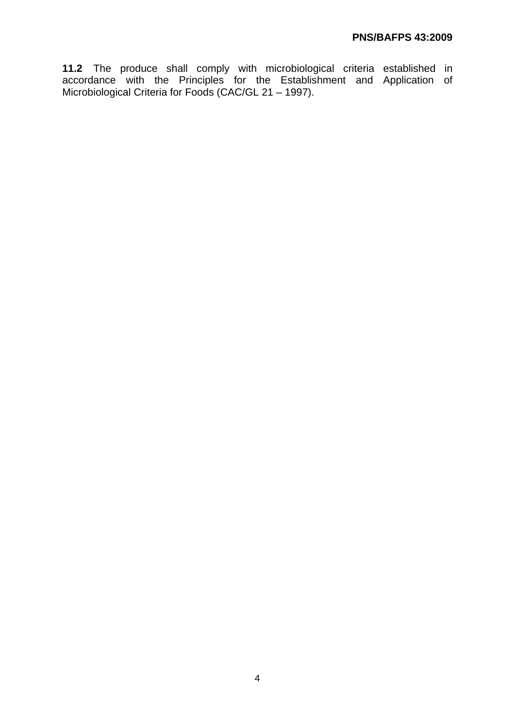**11.2** The produce shall comply with microbiological criteria established in accordance with the Principles for the Establishment and Application of Microbiological Criteria for Foods (CAC/GL 21 – 1997).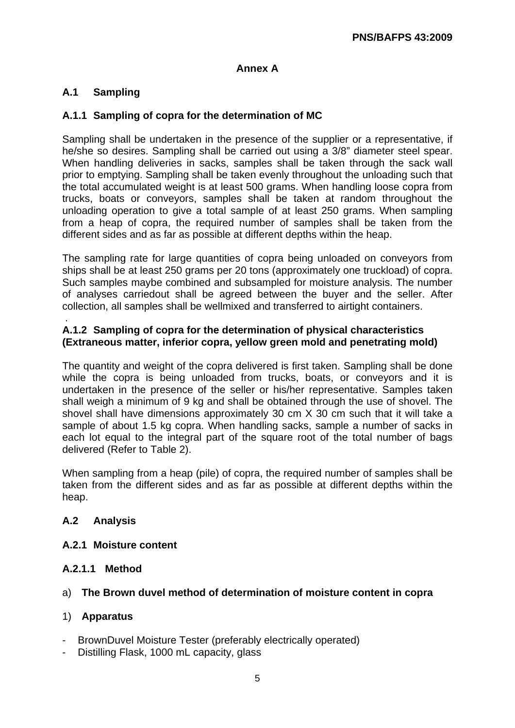# **Annex A**

# **A.1 Sampling**

### **A.1.1 Sampling of copra for the determination of MC**

Sampling shall be undertaken in the presence of the supplier or a representative, if he/she so desires. Sampling shall be carried out using a 3/8" diameter steel spear. When handling deliveries in sacks, samples shall be taken through the sack wall prior to emptying. Sampling shall be taken evenly throughout the unloading such that the total accumulated weight is at least 500 grams. When handling loose copra from trucks, boats or conveyors, samples shall be taken at random throughout the unloading operation to give a total sample of at least 250 grams. When sampling from a heap of copra, the required number of samples shall be taken from the different sides and as far as possible at different depths within the heap.

The sampling rate for large quantities of copra being unloaded on conveyors from ships shall be at least 250 grams per 20 tons (approximately one truckload) of copra. Such samples maybe combined and subsampled for moisture analysis. The number of analyses carriedout shall be agreed between the buyer and the seller. After collection, all samples shall be wellmixed and transferred to airtight containers.

#### . **A.1.2 Sampling of copra for the determination of physical characteristics (Extraneous matter, inferior copra, yellow green mold and penetrating mold)**

The quantity and weight of the copra delivered is first taken. Sampling shall be done while the copra is being unloaded from trucks, boats, or conveyors and it is undertaken in the presence of the seller or his/her representative. Samples taken shall weigh a minimum of 9 kg and shall be obtained through the use of shovel. The shovel shall have dimensions approximately 30 cm X 30 cm such that it will take a sample of about 1.5 kg copra. When handling sacks, sample a number of sacks in each lot equal to the integral part of the square root of the total number of bags delivered (Refer to Table 2).

When sampling from a heap (pile) of copra, the required number of samples shall be taken from the different sides and as far as possible at different depths within the heap.

#### **A.2 Analysis**

#### **A.2.1 Moisture content**

#### **A.2.1.1 Method**

#### a) **The Brown duvel method of determination of moisture content in copra**

#### 1) **Apparatus**

- -BrownDuvel Moisture Tester (preferably electrically operated)
- -Distilling Flask, 1000 mL capacity, glass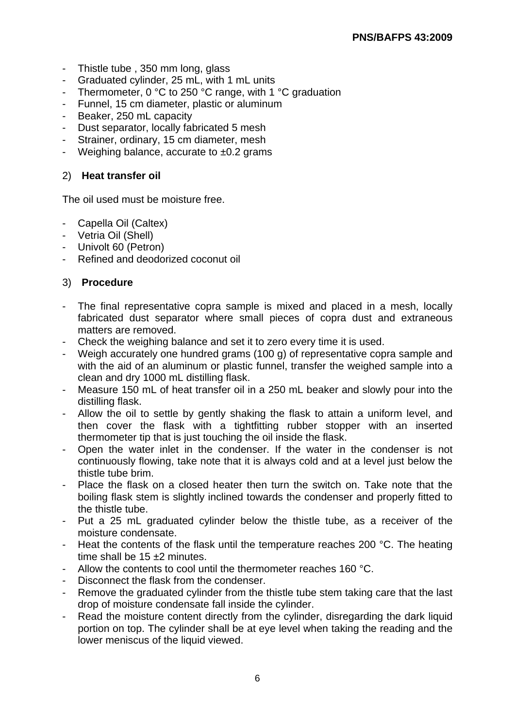- -Thistle tube , 350 mm long, glass
- -Graduated cylinder, 25 mL, with 1 mL units
- Thermometer,  $0 °C$  to 250  $°C$  range, with 1  $°C$  graduation
- Funnel, 15 cm diameter, plastic or aluminum
- Beaker, 250 mL capacity
- Dust separator, locally fabricated 5 mesh
- Strainer, ordinary, 15 cm diameter, mesh
- Weighing balance, accurate to  $\pm 0.2$  grams

#### 2) **Heat transfer oil**

The oil used must be moisture free.

- -Capella Oil (Caltex)
- -Vetria Oil (Shell)
- -Univolt 60 (Petron)
- -Refined and deodorized coconut oil

#### 3) **Procedure**

- -The final representative copra sample is mixed and placed in a mesh, locally fabricated dust separator where small pieces of copra dust and extraneous matters are removed.
- -Check the weighing balance and set it to zero every time it is used.
- -Weigh accurately one hundred grams (100 g) of representative copra sample and with the aid of an aluminum or plastic funnel, transfer the weighed sample into a clean and dry 1000 mL distilling flask.
- -Measure 150 mL of heat transfer oil in a 250 mL beaker and slowly pour into the distilling flask.
- -Allow the oil to settle by gently shaking the flask to attain a uniform level, and then cover the flask with a tightfitting rubber stopper with an inserted thermometer tip that is just touching the oil inside the flask.
- -Open the water inlet in the condenser. If the water in the condenser is not continuously flowing, take note that it is always cold and at a level just below the thistle tube brim.
- -Place the flask on a closed heater then turn the switch on. Take note that the boiling flask stem is slightly inclined towards the condenser and properly fitted to the thistle tube.
- -Put a 25 mL graduated cylinder below the thistle tube, as a receiver of the moisture condensate.
- -Heat the contents of the flask until the temperature reaches 200 °C. The heating time shall be 15 +2 minutes.
- -Allow the contents to cool until the thermometer reaches 160 °C.
- -Disconnect the flask from the condenser.
- -Remove the graduated cylinder from the thistle tube stem taking care that the last drop of moisture condensate fall inside the cylinder.
- -Read the moisture content directly from the cylinder, disregarding the dark liquid portion on top. The cylinder shall be at eye level when taking the reading and the lower meniscus of the liquid viewed.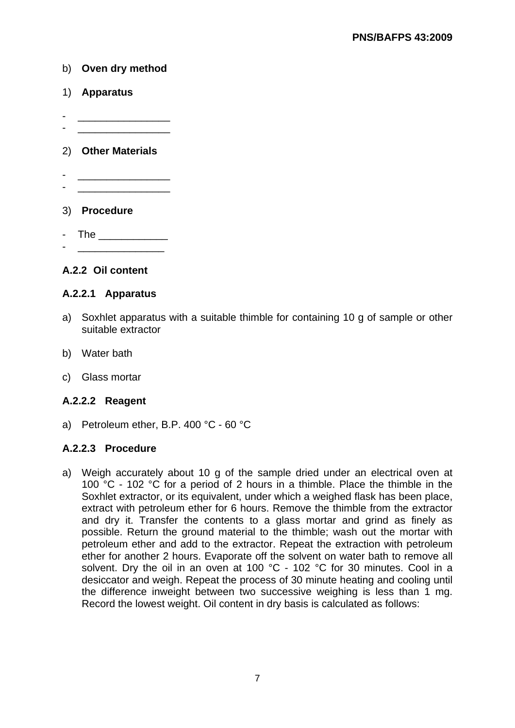#### b) **Oven dry method**

- 1) **Apparatus**
- -\_\_\_\_\_\_\_\_\_\_\_\_\_\_\_\_ -\_\_\_\_\_\_\_\_\_\_\_\_\_\_\_\_

#### 2) **Other Materials**

- -\_\_\_\_\_\_\_\_\_\_\_\_\_\_\_\_ -\_\_\_\_\_\_\_\_\_\_\_\_\_\_\_\_
- 3) **Procedure**
- -The \_\_\_\_\_\_\_\_\_\_\_\_ - <u>\_\_\_\_\_\_\_\_\_\_\_\_\_\_\_\_\_\_\_</u>\_

#### **A.2.2 Oil content**

#### **A.2.2.1 Apparatus**

- a)Soxhlet apparatus with a suitable thimble for containing 10 g of sample or other suitable extractor
- b)Water bath
- c)Glass mortar

#### **A.2.2.2 Reagent**

a)Petroleum ether, B.P. 400 °C - 60 °C

#### **A.2.2.3 Procedure**

a)Weigh accurately about 10 g of the sample dried under an electrical oven at 100 °C - 102 °C for a period of 2 hours in a thimble. Place the thimble in the Soxhlet extractor, or its equivalent, under which a weighed flask has been place, extract with petroleum ether for 6 hours. Remove the thimble from the extractor and dry it. Transfer the contents to a glass mortar and grind as finely as possible. Return the ground material to the thimble; wash out the mortar with petroleum ether and add to the extractor. Repeat the extraction with petroleum ether for another 2 hours. Evaporate off the solvent on water bath to remove all solvent. Dry the oil in an oven at 100 °C - 102 °C for 30 minutes. Cool in a desiccator and weigh. Repeat the process of 30 minute heating and cooling until the difference inweight between two successive weighing is less than 1 mg. Record the lowest weight. Oil content in dry basis is calculated as follows: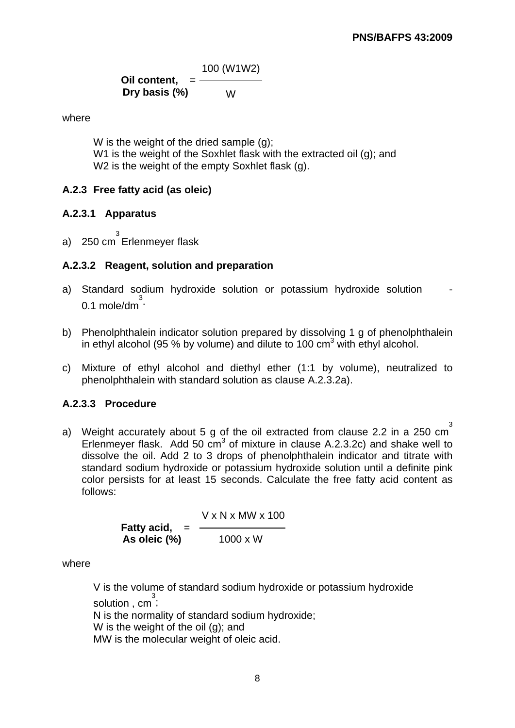100 (W1W2) **Oil content,** = **Dry basis (%)** W

where

 W is the weight of the dried sample (g); W1 is the weight of the Soxhlet flask with the extracted oil (g); and W<sub>2</sub> is the weight of the empty Soxhlet flask (g).

# **A.2.3 Free fatty acid (as oleic)**

# **A.2.3.1 Apparatus**

a)250 cm 3 Erlenmeyer flask

# **A.2.3.2 Reagent, solution and preparation**

- a)Standard sodium hydroxide solution or potassium hydroxide solution 0.1 mole/dm $\overline{3}$ .
- b)Phenolphthalein indicator solution prepared by dissolving 1 g of phenolphthalein in ethyl alcohol (95 % by volume) and dilute to 100  $\text{cm}^3$  with ethyl alcohol.
- c)Mixture of ethyl alcohol and diethyl ether (1:1 by volume), neutralized to phenolphthalein with standard solution as clause A.2.3.2a).

# **A.2.3.3 Procedure**

a)Weight accurately about 5 g of the oil extracted from clause 2.2 in a 250 cm 3 Erlenmeyer flask. Add 50  $cm<sup>3</sup>$  of mixture in clause A.2.3.2c) and shake well to dissolve the oil. Add 2 to 3 drops of phenolphthalein indicator and titrate with standard sodium hydroxide or potassium hydroxide solution until a definite pink color persists for at least 15 seconds. Calculate the free fatty acid content as follows:

> V x N x MW x 100 **Fatty acid, As oleic (%)** 1000 x W

where

 V is the volume of standard sodium hydroxide or potassium hydroxide solution , cm<sup>3</sup>; N is the normality of standard sodium hydroxide; W is the weight of the oil (g); and MW is the molecular weight of oleic acid.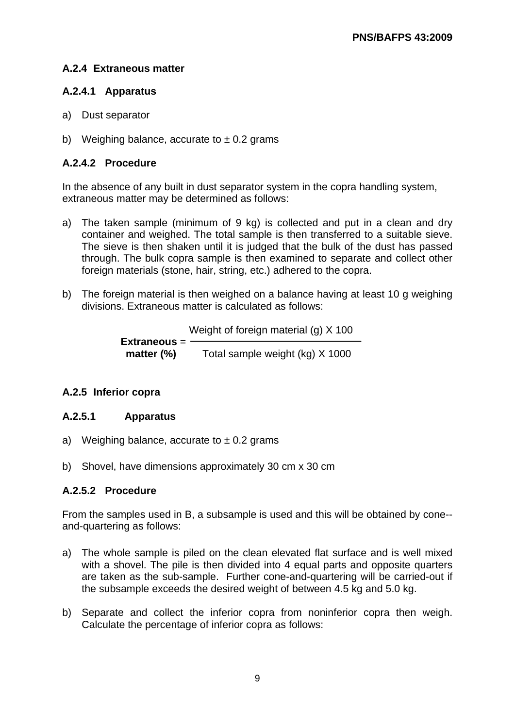# **A.2.4 Extraneous matter**

# **A.2.4.1 Apparatus**

- a)Dust separator
- b) Weighing balance, accurate to  $\pm$  0.2 grams

# **A.2.4.2 Procedure**

In the absence of any built in dust separator system in the copra handling system, extraneous matter may be determined as follows:

- a)The taken sample (minimum of 9 kg) is collected and put in a clean and dry container and weighed. The total sample is then transferred to a suitable sieve. The sieve is then shaken until it is judged that the bulk of the dust has passed through. The bulk copra sample is then examined to separate and collect other foreign materials (stone, hair, string, etc.) adhered to the copra.
- b)The foreign material is then weighed on a balance having at least 10 g weighing divisions. Extraneous matter is calculated as follows:

 Weight of foreign material (g) X 100  **Extraneous** = **matter (%)** Total sample weight (kg) X 1000

# **A.2.5 Inferior copra**

# **A.2.5.1 Apparatus**

- a) Weighing balance, accurate to  $\pm$  0.2 grams
- b)Shovel, have dimensions approximately 30 cm x 30 cm

# **A.2.5.2 Procedure**

From the samples used in B, a subsample is used and this will be obtained by cone- and-quartering as follows:

- a)The whole sample is piled on the clean elevated flat surface and is well mixed with a shovel. The pile is then divided into 4 equal parts and opposite quarters are taken as the sub-sample. Further cone-and-quartering will be carried-out if the subsample exceeds the desired weight of between 4.5 kg and 5.0 kg.
- b)Separate and collect the inferior copra from noninferior copra then weigh. Calculate the percentage of inferior copra as follows: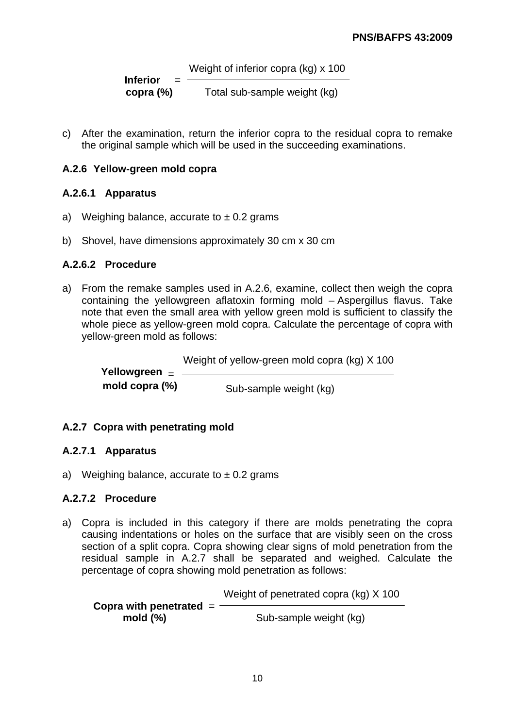Weight of inferior copra (kg) x 100  **Inferior** =  **copra (%)** Total sub-sample weight (kg)

c)After the examination, return the inferior copra to the residual copra to remake the original sample which will be used in the succeeding examinations.

# **A.2.6 Yellow-green mold copra**

# **A.2.6.1 Apparatus**

- a) Weighing balance, accurate to  $\pm$  0.2 grams
- b)Shovel, have dimensions approximately 30 cm x 30 cm

# **A.2.6.2 Procedure**

a)From the remake samples used in A.2.6, examine, collect then weigh the copra containing the yellowgreen aflatoxin forming mold – Aspergillus flavus. Take note that even the small area with yellow green mold is sufficient to classify the whole piece as yellow-green mold copra. Calculate the percentage of copra with yellow-green mold as follows:

Weight of yellow-green mold copra (kg) X 100

 **Yellowgreen** = **mold copra (%)** Sub-sample weight (kg)

# **A.2.7 Copra with penetrating mold**

# **A.2.7.1 Apparatus**

a) Weighing balance, accurate to  $\pm$  0.2 grams

# **A.2.7.2 Procedure**

a)Copra is included in this category if there are molds penetrating the copra causing indentations or holes on the surface that are visibly seen on the cross section of a split copra. Copra showing clear signs of mold penetration from the residual sample in A.2.7 shall be separated and weighed. Calculate the percentage of copra showing mold penetration as follows:

Weight of penetrated copra (kg) X 100

**Copra with penetrated** = **mold (%)** Sub-sample weight (kg)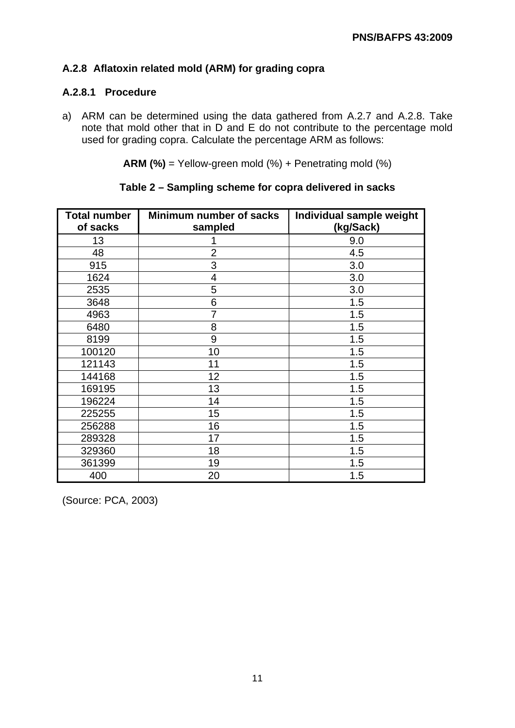# **A.2.8 Aflatoxin related mold (ARM) for grading copra**

# **A.2.8.1 Procedure**

a)ARM can be determined using the data gathered from A.2.7 and A.2.8. Take note that mold other that in D and E do not contribute to the percentage mold used for grading copra. Calculate the percentage ARM as follows:

**ARM (%)** = Yellow-green mold (%) + Penetrating mold (%)

| <b>Total number</b><br>of sacks | Minimum number of sacks<br>sampled | Individual sample weight<br>(kg/Sack) |
|---------------------------------|------------------------------------|---------------------------------------|
| 13                              |                                    | 9.0                                   |
| 48                              | $\overline{2}$                     | 4.5                                   |
| 915                             | 3                                  | 3.0                                   |
| 1624                            | 4                                  | 3.0                                   |
| 2535                            | 5                                  | 3.0                                   |
| 3648                            | 6                                  | 1.5                                   |
| 4963                            | 7                                  | 1.5                                   |
| 6480                            | 8                                  | 1.5                                   |
| 8199                            | 9                                  | 1.5                                   |
| 100120                          | 10                                 | 1.5                                   |
| 121143                          | 11                                 | 1.5                                   |
| 144168                          | 12                                 | 1.5                                   |
| 169195                          | 13                                 | 1.5                                   |
| 196224                          | 14                                 | 1.5                                   |
| 225255                          | 15                                 | 1.5                                   |
| 256288                          | 16                                 | 1.5                                   |
| 289328                          | 17                                 | 1.5                                   |
| 329360                          | 18                                 | 1.5                                   |
| 361399                          | 19                                 | 1.5                                   |
| 400                             | 20                                 | 1.5                                   |

**Table 2 – Sampling scheme for copra delivered in sacks** 

(Source: PCA, 2003)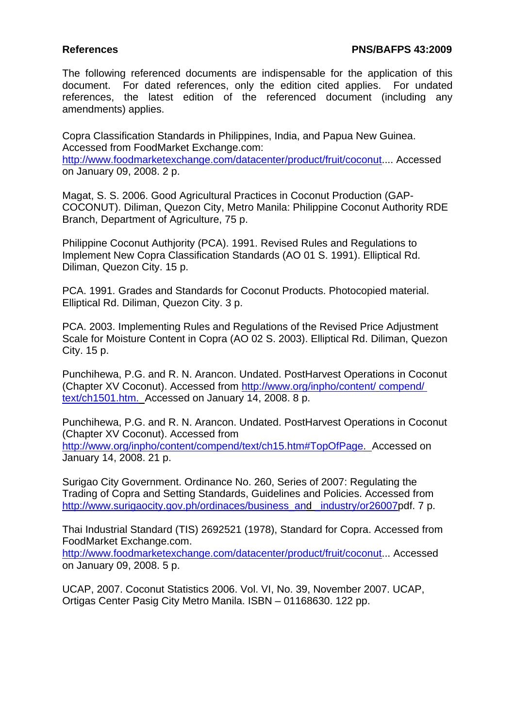The following referenced documents are indispensable for the application of this document. For dated references, only the edition cited applies. For undated references, the latest edition of the referenced document (including any amendments) applies.

Copra Classification Standards in Philippines, India, and Papua New Guinea. Accessed from FoodMarket Exchange.com: http://www.foodmarketexchange.com/datacenter/product/fruit/coconut.... Accessed on January 09, 2008. 2 p.

Magat, S. S. 2006. Good Agricultural Practices in Coconut Production (GAP-COCONUT). Diliman, Quezon City, Metro Manila: Philippine Coconut Authority RDE Branch, Department of Agriculture, 75 p.

Philippine Coconut Authjority (PCA). 1991. Revised Rules and Regulations to Implement New Copra Classification Standards (AO 01 S. 1991). Elliptical Rd. Diliman, Quezon City. 15 p.

PCA. 1991. Grades and Standards for Coconut Products. Photocopied material. Elliptical Rd. Diliman, Quezon City. 3 p.

PCA. 2003. Implementing Rules and Regulations of the Revised Price Adjustment Scale for Moisture Content in Copra (AO 02 S. 2003). Elliptical Rd. Diliman, Quezon City. 15 p.

Punchihewa, P.G. and R. N. Arancon. Undated. PostHarvest Operations in Coconut (Chapter XV Coconut). Accessed from http://www.org/inpho/content/ compend/ text/ch1501.htm. Accessed on January 14, 2008. 8 p.

Punchihewa, P.G. and R. N. Arancon. Undated. PostHarvest Operations in Coconut (Chapter XV Coconut). Accessed from http://www.org/inpho/content/compend/text/ch15.htm#TopOfPage. Accessed on January 14, 2008. 21 p.

Surigao City Government. Ordinance No. 260, Series of 2007: Regulating the Trading of Copra and Setting Standards, Guidelines and Policies. Accessed from http://www.surigaocity.gov.ph/ordinaces/business\_and \_industry/or26007pdf. 7 p.

Thai Industrial Standard (TIS) 2692521 (1978), Standard for Copra. Accessed from FoodMarket Exchange.com. http://www.foodmarketexchange.com/datacenter/product/fruit/coconut... Accessed on January 09, 2008. 5 p.

UCAP, 2007. Coconut Statistics 2006. Vol. VI, No. 39, November 2007. UCAP, Ortigas Center Pasig City Metro Manila. ISBN – 01168630. 122 pp.